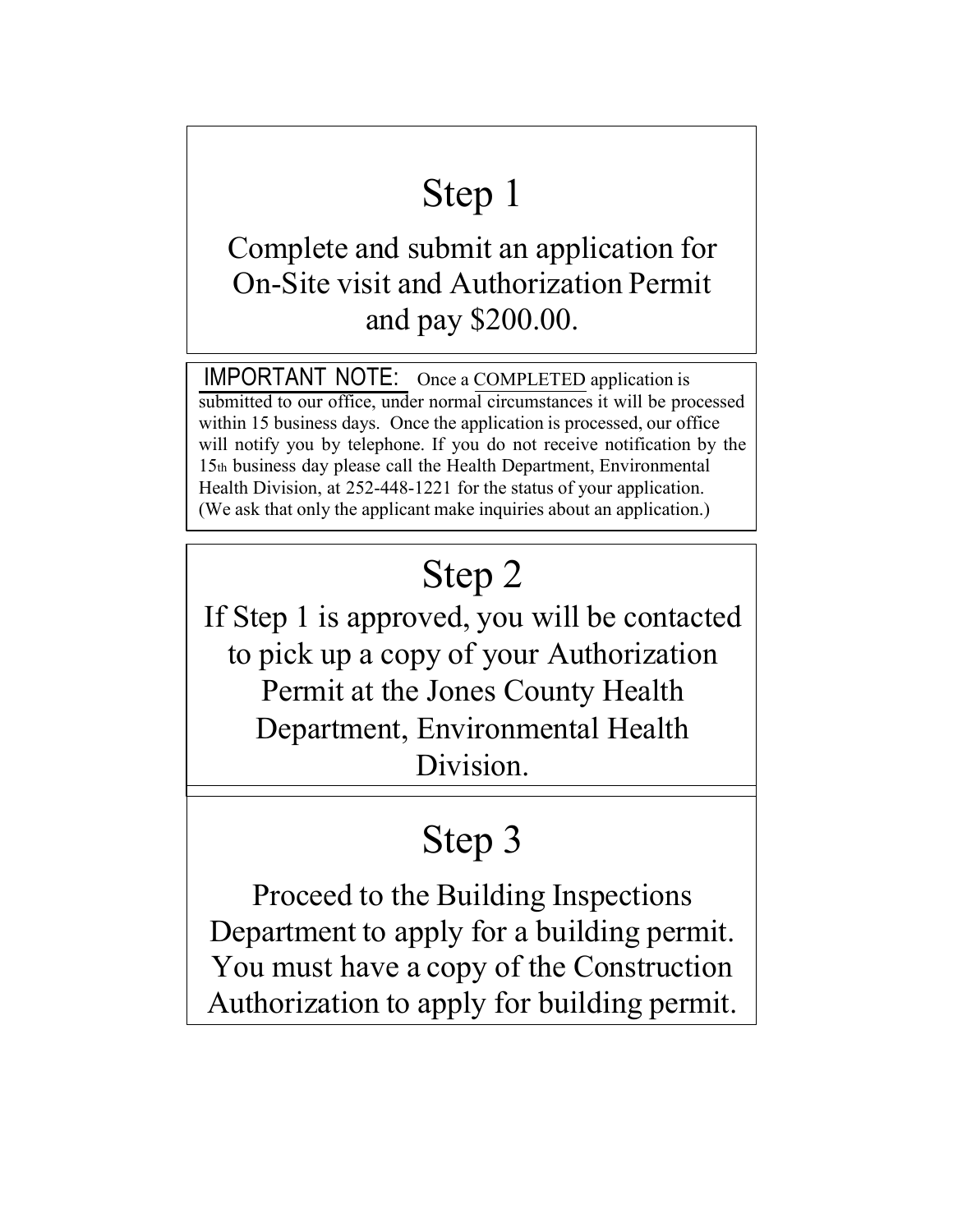# Step 1

Complete and submit an application for On-Site visit and Authorization Permit and pay \$200.00.

IMPORTANT NOTE: Once a COMPLETED application is submitted to our office, under normal circumstances it will be processed within 15 business days. Once the application is processed, our office will notify you by telephone. If you do not receive notification by the 15th business day please call the Health Department, Environmental Health Division, at 252-448-1221 for the status of your application. (We ask that only the applicant make inquiries about an application.)

## Step 2

If Step 1 is approved, you will be contacted to pick up a copy of your Authorization Permit at the Jones County Health Department, Environmental Health Division.

## Step 3

Proceed to the Building Inspections Department to apply for a building permit. You must have a copy of the Construction Authorization to apply for building permit.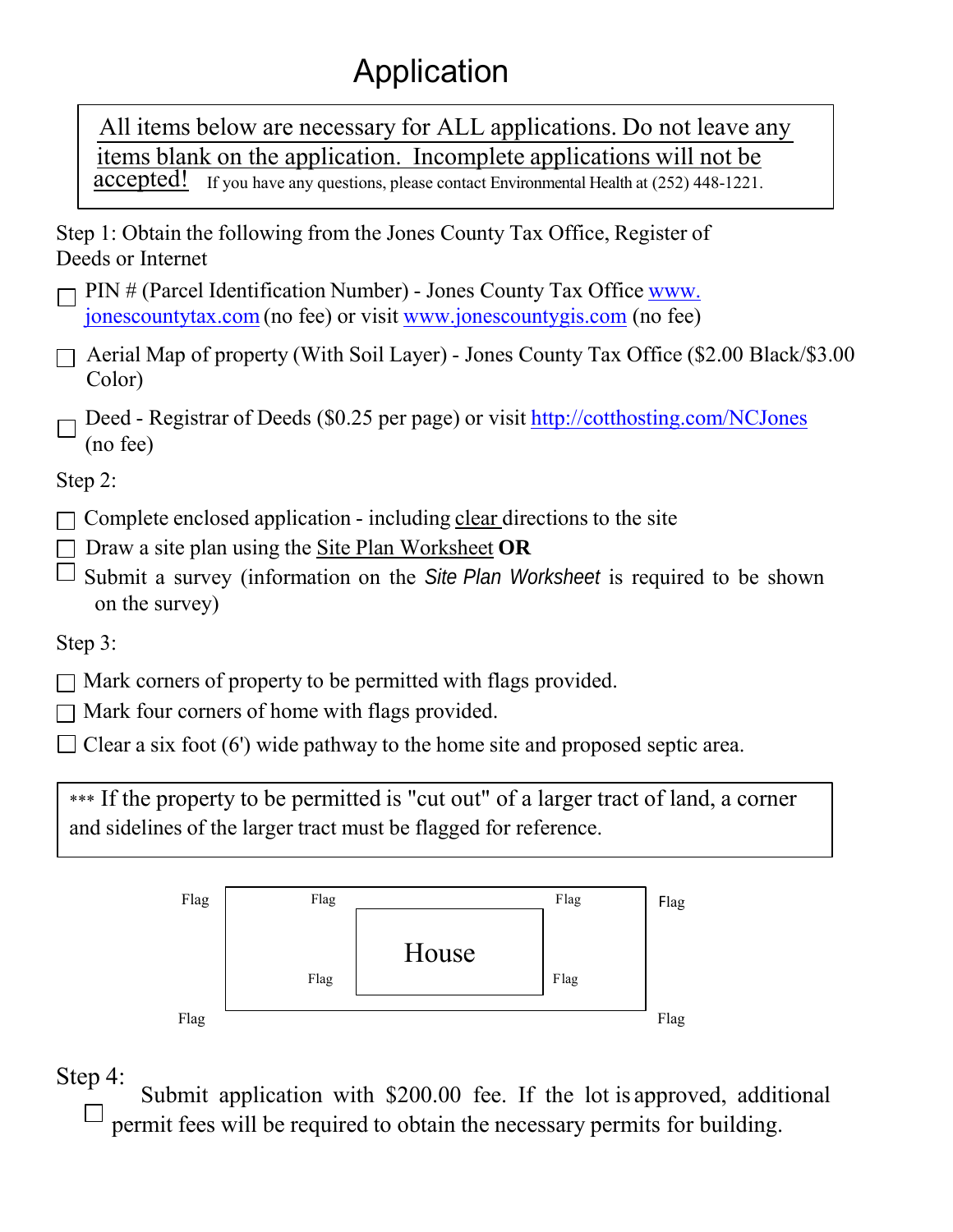### Application

All items below are necessary for ALL applications. Do not leave any items blank on the application. Incomplete applications will not be accepted! If you have any questions, please contact Environmental Health at (252) 448-1221.

Step 1: Obtain the following from the Jones County Tax Office, Register of Deeds or Internet

- PIN # (Parcel Identification Number) Jones County Tax Office [www.](http://www/) jonescountytax.com (no fee) or visit [www.jonescountygis.com \(](http://www.jonescountygis.com/)no fee)
- $\Box$  Aerial Map of property (With Soil Layer) Jones County Tax Office (\$2.00 Black/\$3.00 Color)
- Deed Registrar of Deeds (\$0.25 per page) or visit<http://cotthosting.com/NCJones> (no fee)

Step 2:

- $\Box$  Complete enclosed application including clear directions to the site
- Draw a site plan using the Site Plan Worksheet **OR**
- Submit a survey (information on the *Site Plan Worksheet* is required to be shown on the survey)

Step 3:

- $\Box$  Mark corners of property to be permitted with flags provided.
- $\Box$  Mark four corners of home with flags provided.
- $\Box$  Clear a six foot (6') wide pathway to the home site and proposed septic area.

\*\*\* If the property to be permitted is "cut out" of a larger tract of land, a corner and sidelines of the larger tract must be flagged for reference.



Step 4:

Submit application with \$200.00 fee. If the lot is approved, additional permit fees will be required to obtain the necessary permits for building.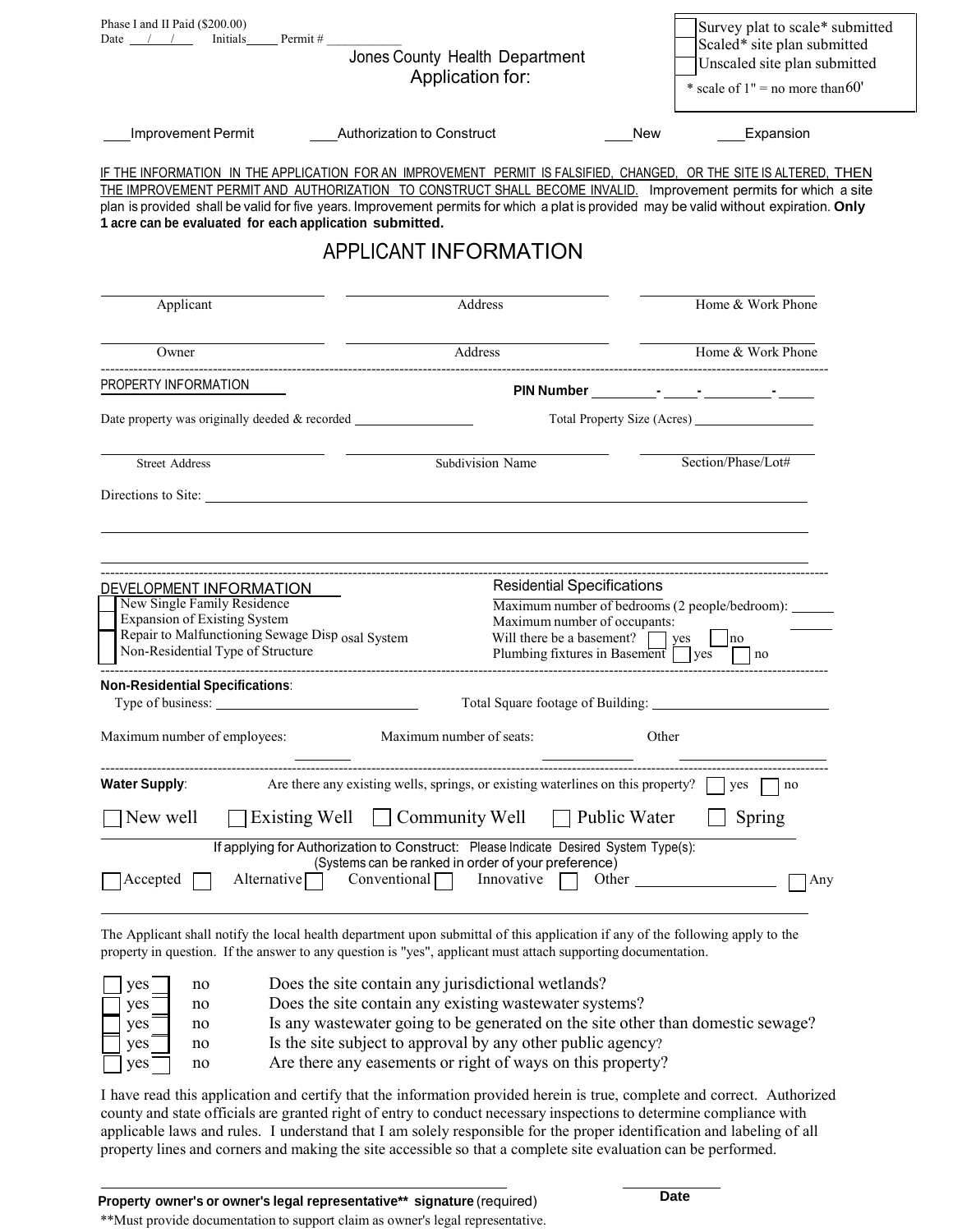| Phase I and II Paid (\$200.00)<br>Date $/$ /<br>Initials Permit #                       |                                                                                                                                                                                                                                                 | Survey plat to scale* submitted<br>Scaled* site plan submitted |
|-----------------------------------------------------------------------------------------|-------------------------------------------------------------------------------------------------------------------------------------------------------------------------------------------------------------------------------------------------|----------------------------------------------------------------|
|                                                                                         | Jones County Health Department                                                                                                                                                                                                                  | Unscaled site plan submitted                                   |
|                                                                                         | Application for:                                                                                                                                                                                                                                | * scale of $1"$ = no more than 60'                             |
| Improvement Permit                                                                      | Authorization to Construct                                                                                                                                                                                                                      | <b>New</b><br>Expansion                                        |
|                                                                                         | IF THE INFORMATION IN THE APPLICATION FOR AN IMPROVEMENT PERMIT IS FALSIFIED, CHANGED, OR THE SITE IS ALTERED, THEN                                                                                                                             |                                                                |
|                                                                                         | THE IMPROVEMENT PERMIT AND AUTHORIZATION TO CONSTRUCT SHALL BECOME INVALID. Improvement permits for which a site                                                                                                                                |                                                                |
|                                                                                         | plan is provided shall be valid for five years. Improvement permits for which a plat is provided may be valid without expiration. Only                                                                                                          |                                                                |
| 1 acre can be evaluated for each application submitted.                                 |                                                                                                                                                                                                                                                 |                                                                |
|                                                                                         | <b>APPLICANT INFORMATION</b>                                                                                                                                                                                                                    |                                                                |
| Applicant                                                                               | Address                                                                                                                                                                                                                                         | Home & Work Phone                                              |
| Owner                                                                                   | Address                                                                                                                                                                                                                                         | Home & Work Phone                                              |
| PROPERTY INFORMATION                                                                    |                                                                                                                                                                                                                                                 |                                                                |
| Date property was originally deeded & recorded __________________________________       |                                                                                                                                                                                                                                                 |                                                                |
| <b>Street Address</b>                                                                   | Subdivision Name                                                                                                                                                                                                                                | Section/Phase/Lot#                                             |
|                                                                                         |                                                                                                                                                                                                                                                 |                                                                |
|                                                                                         |                                                                                                                                                                                                                                                 |                                                                |
|                                                                                         |                                                                                                                                                                                                                                                 |                                                                |
|                                                                                         |                                                                                                                                                                                                                                                 |                                                                |
| DEVELOPMENT INFORMATION                                                                 | <b>Residential Specifications</b>                                                                                                                                                                                                               |                                                                |
| New Single Family Residence                                                             |                                                                                                                                                                                                                                                 | Maximum number of bedrooms (2 people/bedroom): ______          |
| <b>Expansion of Existing System</b><br>Repair to Malfunctioning Sewage Disp osal System | Maximum number of occupants:<br>Will there be a basement? $\Box$ yes                                                                                                                                                                            | no                                                             |
| Non-Residential Type of Structure                                                       | Plumbing fixtures in Basement $\Box$ yes                                                                                                                                                                                                        | no                                                             |
| Non-Residential Specifications:                                                         |                                                                                                                                                                                                                                                 |                                                                |
| Type of business:                                                                       |                                                                                                                                                                                                                                                 | Total Square footage of Building:                              |
| Maximum number of employees:                                                            | Maximum number of seats:                                                                                                                                                                                                                        | Other                                                          |
| <b>Water Supply:</b>                                                                    | Are there any existing wells, springs, or existing waterlines on this property?                                                                                                                                                                 | yes<br>no                                                      |
| New well<br>Existing Well                                                               | Community Well<br>Public Water                                                                                                                                                                                                                  | Spring                                                         |
|                                                                                         | If applying for Authorization to Construct: Please Indicate Desired System Type(s):                                                                                                                                                             |                                                                |
| Accepted<br>Alternative                                                                 | (Systems can be ranked in order of your preference)<br>Conventional<br>Innovative<br>Other                                                                                                                                                      | Any                                                            |
|                                                                                         |                                                                                                                                                                                                                                                 |                                                                |
|                                                                                         | The Applicant shall notify the local health department upon submittal of this application if any of the following apply to the<br>property in question. If the answer to any question is "yes", applicant must attach supporting documentation. |                                                                |

| ves                             | no | Does the site contain any jurisdictional wetlands?                               |
|---------------------------------|----|----------------------------------------------------------------------------------|
| $yes$ <sup><math>-</math></sup> | no | Does the site contain any existing was tewater systems?                          |
| yes                             | no | Is any was tewater going to be generated on the site other than domestic sewage? |
| $vec{v}$                        | no | Is the site subject to approval by any other public agency?                      |
| yes                             | no | Are there any easements or right of ways on this property?                       |

I have read this application and certify that the information provided herein is true, complete and correct. Authorized county and state officials are granted right of entry to conduct necessary inspections to determine compliance with applicable laws and rules. I understand that I am solely responsible for the proper identification and labeling of all property lines and corners and making the site accessible so that a complete site evaluation can be performed.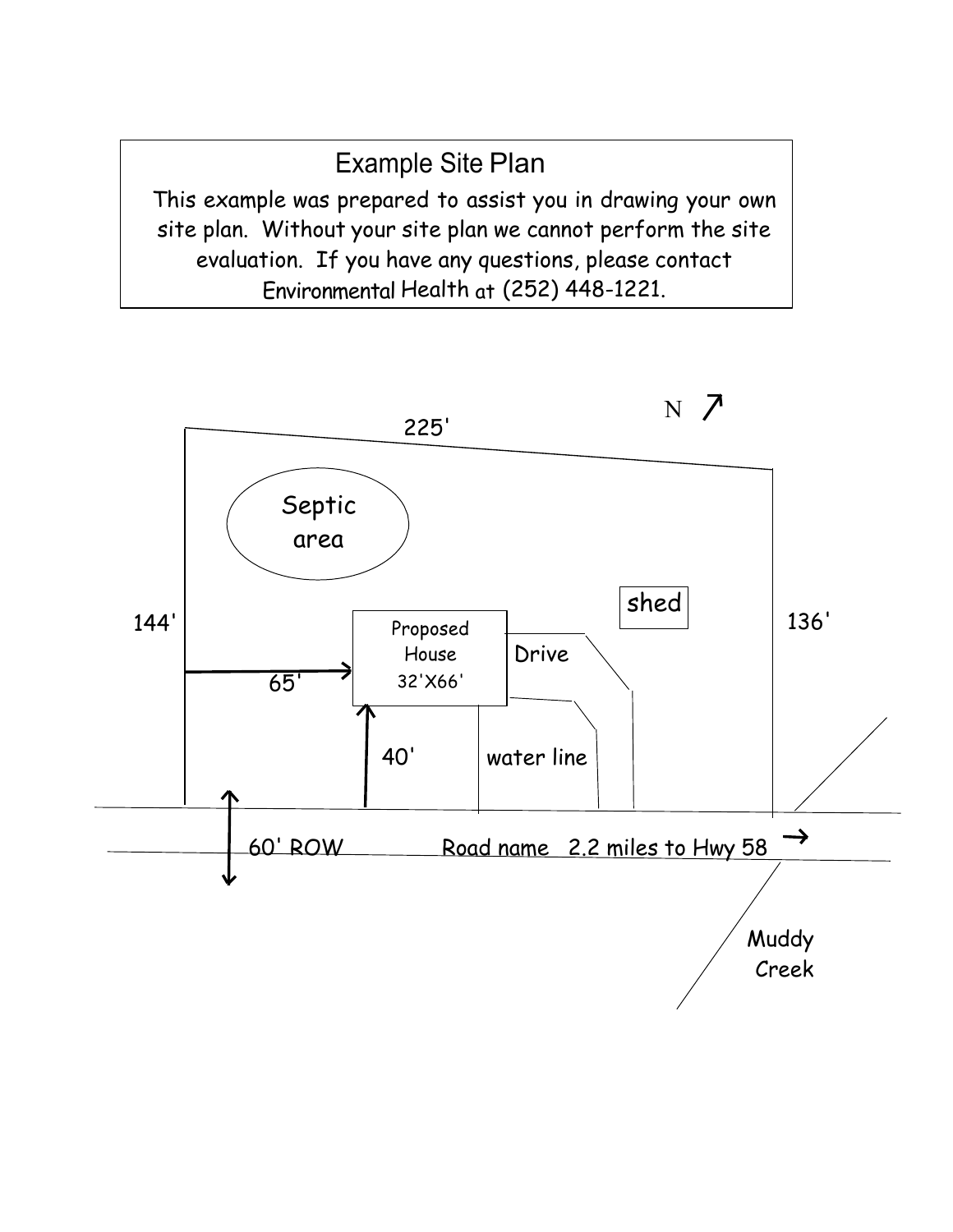Example Site Plan This example was prepared to assist you in drawing your own site plan. Without your site plan we cannot perform the site evaluation. If you have any questions, please contact Environmental Health at (252) 448-1221.